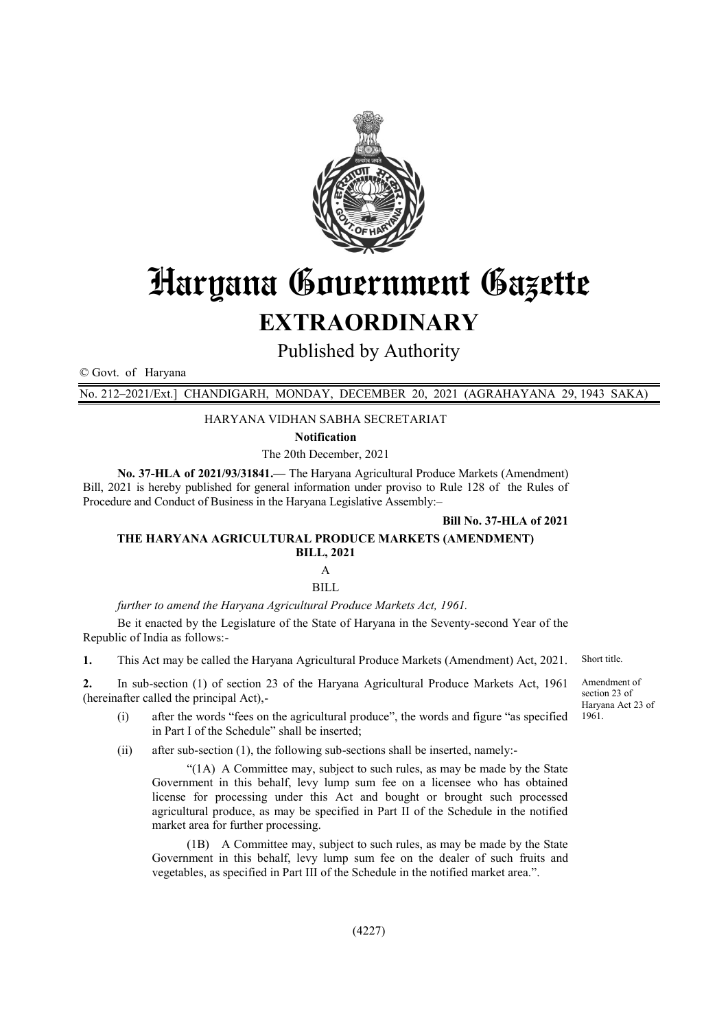

# Haryana Government Gazette

# **EXTRAORDINARY**

Published by Authority

© Govt. of Haryana

No. 212–2021/Ext.] CHANDIGARH, MONDAY, DECEMBER 20, 2021 (AGRAHAYANA 29, 1943 SAKA)

#### HARYANA VIDHAN SABHA SECRETARIAT

**Notification**

The 20th December, 2021

**No. 37-HLA of 2021/93/31841.—** The Haryana Agricultural Produce Markets (Amendment) Bill, 2021 is hereby published for general information under proviso to Rule 128 of the Rules of Procedure and Conduct of Business in the Haryana Legislative Assembly:–

**Bill No. 37-HLA of 2021** 

#### **THE HARYANA AGRICULTURAL PRODUCE MARKETS (AMENDMENT) BILL, 2021** A

BILL

*further to amend the Haryana Agricultural Produce Markets Act, 1961.*

Be it enacted by the Legislature of the State of Haryana in the Seventy-second Year of the Republic of India as follows:-

**1.** This Act may be called the Haryana Agricultural Produce Markets (Amendment) Act, 2021. Short title.

**2.** In sub-section (1) of section 23 of the Haryana Agricultural Produce Markets Act, 1961 (hereinafter called the principal Act),-

- (i) after the words "fees on the agricultural produce", the words and figure "as specified in Part I of the Schedule" shall be inserted;
- (ii) after sub-section (1), the following sub-sections shall be inserted, namely:-

"(1A) A Committee may, subject to such rules, as may be made by the State Government in this behalf, levy lump sum fee on a licensee who has obtained license for processing under this Act and bought or brought such processed agricultural produce, as may be specified in Part II of the Schedule in the notified market area for further processing.

(1B) A Committee may, subject to such rules, as may be made by the State Government in this behalf, levy lump sum fee on the dealer of such fruits and vegetables, as specified in Part III of the Schedule in the notified market area.".

Amendment of section 23 of Haryana Act 23 of 1961.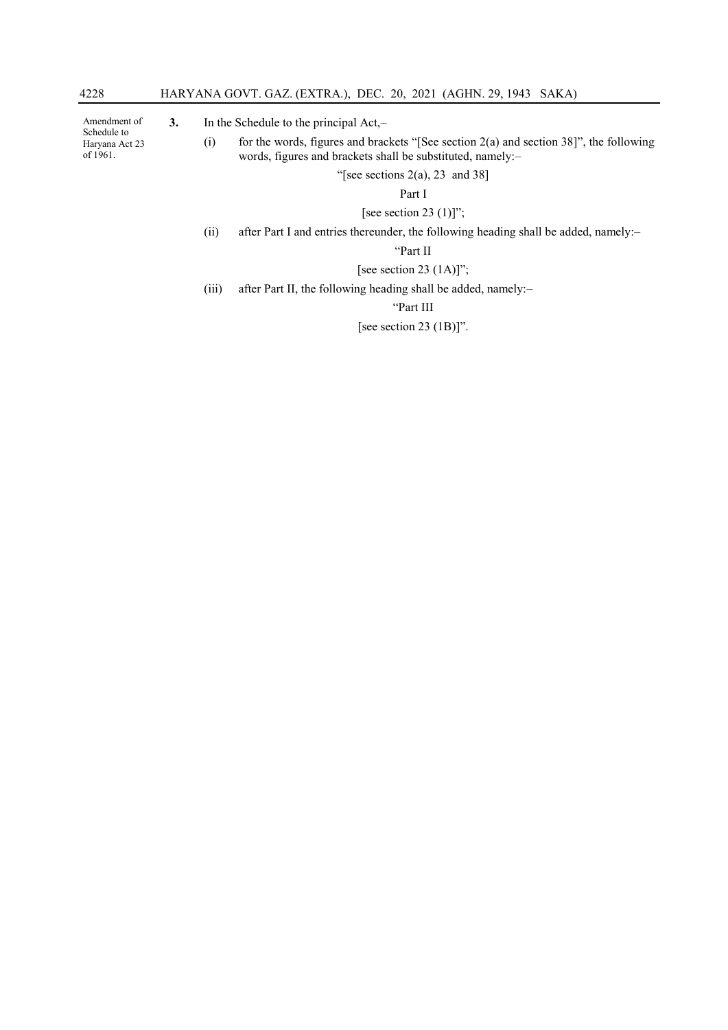Amendment of Schedule to Haryana Act 23 of 1961.

**3.** In the Schedule to the principal Act,–

(i) for the words, figures and brackets "[See section  $2(a)$  and section 38]", the following words, figures and brackets shall be substituted, namely:–

"[see sections  $2(a)$ ,  $23$  and  $38$ ]

Part I

[see section 23 $(1)]$ ";

(ii) after Part I and entries thereunder, the following heading shall be added, namely:–

"Part II

### [see section 23  $(1A)$ ]";

(iii) after Part II, the following heading shall be added, namely:–

"Part III

[see section 23 (1B)]".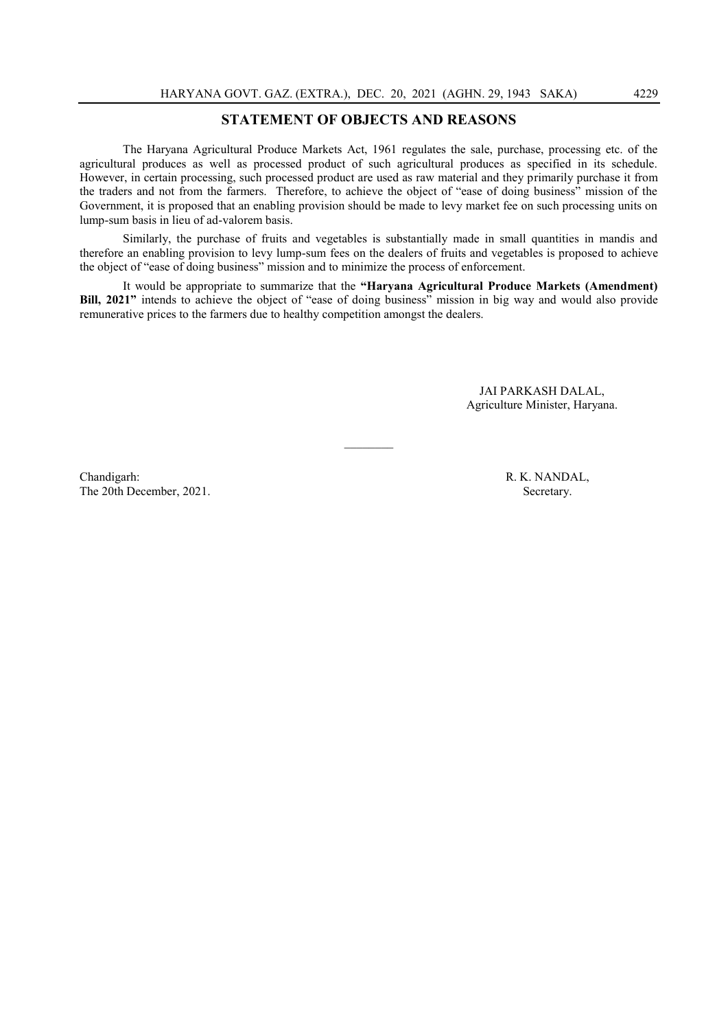# **STATEMENT OF OBJECTS AND REASONS**

The Haryana Agricultural Produce Markets Act, 1961 regulates the sale, purchase, processing etc. of the agricultural produces as well as processed product of such agricultural produces as specified in its schedule. However, in certain processing, such processed product are used as raw material and they primarily purchase it from the traders and not from the farmers. Therefore, to achieve the object of "ease of doing business" mission of the Government, it is proposed that an enabling provision should be made to levy market fee on such processing units on lump-sum basis in lieu of ad-valorem basis.

Similarly, the purchase of fruits and vegetables is substantially made in small quantities in mandis and therefore an enabling provision to levy lump-sum fees on the dealers of fruits and vegetables is proposed to achieve the object of "ease of doing business" mission and to minimize the process of enforcement.

It would be appropriate to summarize that the **"Haryana Agricultural Produce Markets (Amendment) Bill, 2021"** intends to achieve the object of "ease of doing business" mission in big way and would also provide remunerative prices to the farmers due to healthy competition amongst the dealers.

 $\mathcal{L}$ 

JAI PARKASH DALAL, Agriculture Minister, Haryana.

Chandigarh: R. K. NANDAL, The 20th December, 2021. Secretary.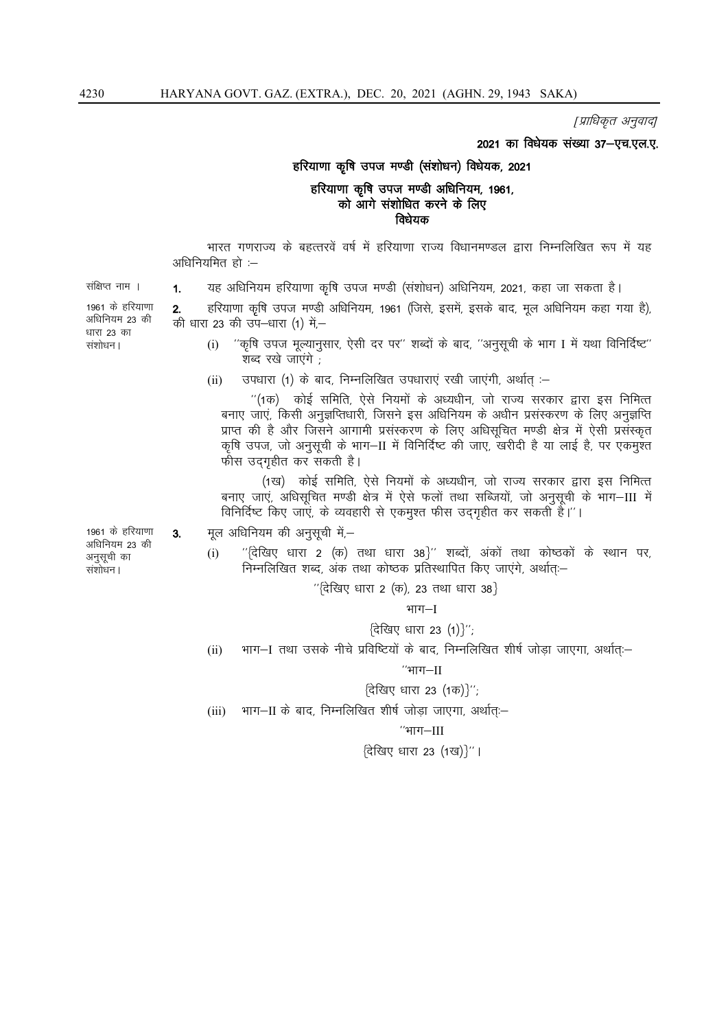[प्राधिकृत अनुवाद]

2021 का विधेयक संख्या 37-एच.एल.ए.

#### हरियाणा कृषि उपज मण्डी (संशोधन) विधेयक, 2021

# हरियाणा कृषि उपज मण्डी अधिनियम, 1961, को आगे संशोधित करने के लिए विधेयक

भारत गणराज्य के बहत्तरवें वर्ष में हरियाणा राज्य विधानमण्डल द्वारा निम्नलिखित रूप में यह अधिनियमित हो :-

संक्षिप्त नाम ।

1961 के हरियाणा अधिनियम 23 की धारा 23 का संशोधन।

यह अधिनियम हरियाणा कृषि उपज मण्डी (संशोधन) अधिनियम, 2021, कहा जा सकता है।  $1.$ 

हरियाणा कृषि उपज मण्डी अधिनियम, 1961 (जिसे, इसमें, इसके बाद, मूल अधिनियम कहा गया है),  $2.$ की धारा 23 की उप–धारा (1) में,–

- "कृषि उपज मूल्यानुसार, ऐसी दर पर" शब्दों के बाद, "अनुसूची के भाग I में यथा विनिर्दिष्ट"  $(i)$ शब्द रखे जाएंगे
- उपधारा (1) के बाद, निम्नलिखित उपधाराएं रखी जाएंगी, अर्थात् :–  $(ii)$

"(1क) कोई समिति, ऐसे नियमों के अध्यधीन, जो राज्य सरकार द्वारा इस निमित्त बनाए जाएं, किसी अनुज्ञप्तिधारी, जिसने इस अधिनियम के अधीन प्रसंस्करण के लिए अनुज्ञप्ति प्राप्त की है और जिसने आगामी प्रसंस्करण के लिए अधिसूचित मण्डी क्षेत्र में ऐसी प्रसंस्कृत कृषि उपज, जो अनुसूची के भाग-II में विनिर्दिष्ट की जाए, खरीदी है या लाई है, पर एकमुश्त फीस उद्गृहीत कर सकती है।

(1ख) कोई समिति, ऐसे नियमों के अध्यधीन, जो राज्य सरकार द्वारा इस निमित्त बनाए जाएं, अधिसूचित मण्डी क्षेत्र में ऐसे फलों तथा सब्जियों, जो अनुसूची के भाग-III में विनिर्दिष्ट किए जाएं, के व्यवहारी से एकमुश्त फीस उद्गृहीत कर सकती है।"।

- मूल अधिनियम की अनुसूची में,-
	- ''{देखिए धारा 2 (क) तथा धारा 38}'' शब्दों, अंकों तथा कोष्ठकों के स्थान पर,  $(i)$ निम्नलिखित शब्द, अंक तथा कोष्ठक प्रतिस्थापित किए जाएंगे, अर्थात् -

 $^{\prime\prime}$ (देखिए धारा 2 (क), 23 तथा धारा 38}

#### भाग $-I$

 $\{\hat{\tau}$ खिए धारा 23 (1)}'';

भाग–I तथा उसके नीचे प्रविष्टियों के बाद, निम्नलिखित शीर्ष जोडा जाएगा, अर्थातः–  $(ii)$ 

#### $"$ भाग $-II$

- {देखिए धारा 23 (1क)}";
- (iii) भाग-II के बाद, निम्नलिखित शीर्ष जोड़ा जाएगा, अर्थात्ः-

''भाग
$$
-
$$
[[

{देखिए धारा 23 (1ख)}''।

1961 के हरियाणा अधिनियम 23 की अनुसूची का संशोधन।

 $3<sub>l</sub>$